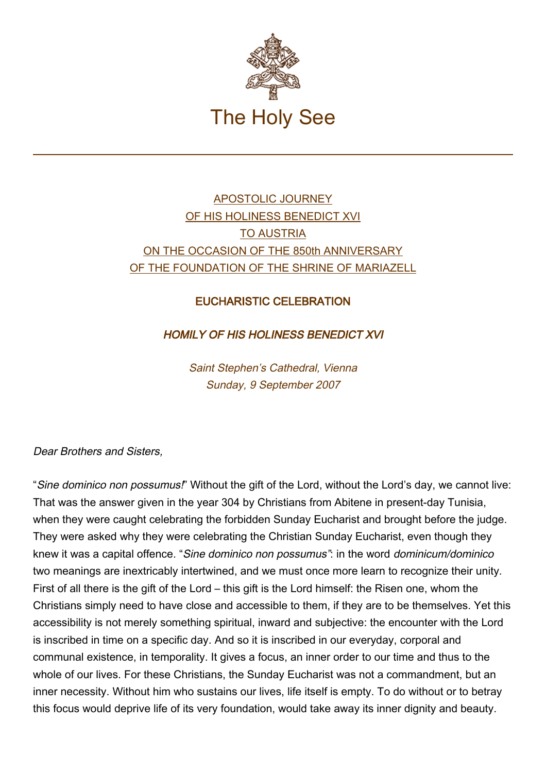

## [APOSTOLIC JOURNEY](https://www.vatican.va/content/benedict-xvi/en/travels/2007/index_austria.html) [OF HIS HOLINESS BENEDICT XVI](https://www.vatican.va/content/benedict-xvi/en/travels/2007/index_austria.html) [TO AUSTRIA](https://www.vatican.va/content/benedict-xvi/en/travels/2007/index_austria.html) [ON THE OCCASION OF THE 850th ANNIVERSARY](https://www.vatican.va/content/benedict-xvi/en/travels/2007/index_austria.html) [OF THE FOUNDATION OF THE SHRINE OF MARIAZELL](https://www.vatican.va/content/benedict-xvi/en/travels/2007/index_austria.html)

## EUCHARISTIC CELEBRATION

HOMILY OF HIS HOLINESS BENEDICT XVI

Saint Stephen's Cathedral, Vienna Sunday, 9 September 2007

## Dear Brothers and Sisters,

"Sine dominico non possumus!" Without the gift of the Lord, without the Lord's day, we cannot live: That was the answer given in the year 304 by Christians from Abitene in present-day Tunisia, when they were caught celebrating the forbidden Sunday Eucharist and brought before the judge. They were asked why they were celebrating the Christian Sunday Eucharist, even though they knew it was a capital offence. "Sine dominico non possumus": in the word dominicum/dominico two meanings are inextricably intertwined, and we must once more learn to recognize their unity. First of all there is the gift of the Lord – this gift is the Lord himself: the Risen one, whom the Christians simply need to have close and accessible to them, if they are to be themselves. Yet this accessibility is not merely something spiritual, inward and subjective: the encounter with the Lord is inscribed in time on a specific day. And so it is inscribed in our everyday, corporal and communal existence, in temporality. It gives a focus, an inner order to our time and thus to the whole of our lives. For these Christians, the Sunday Eucharist was not a commandment, but an inner necessity. Without him who sustains our lives, life itself is empty. To do without or to betray this focus would deprive life of its very foundation, would take away its inner dignity and beauty.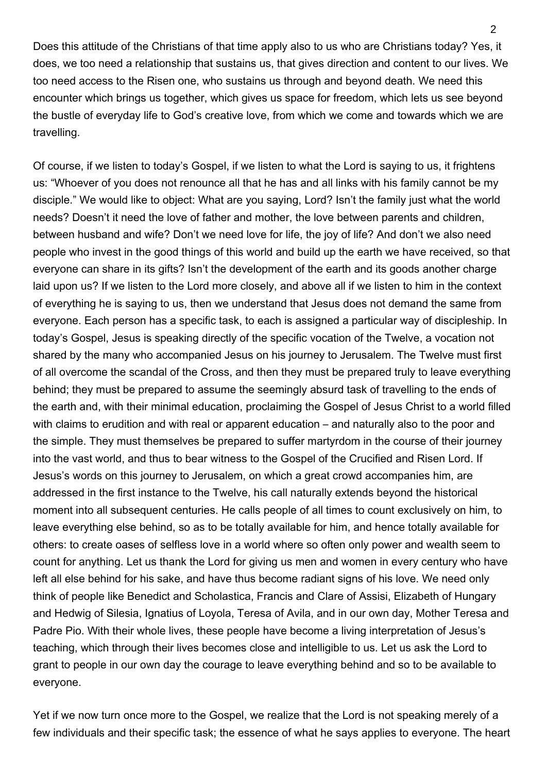Does this attitude of the Christians of that time apply also to us who are Christians today? Yes, it does, we too need a relationship that sustains us, that gives direction and content to our lives. We too need access to the Risen one, who sustains us through and beyond death. We need this encounter which brings us together, which gives us space for freedom, which lets us see beyond the bustle of everyday life to God's creative love, from which we come and towards which we are travelling.

Of course, if we listen to today's Gospel, if we listen to what the Lord is saying to us, it frightens us: "Whoever of you does not renounce all that he has and all links with his family cannot be my disciple." We would like to object: What are you saying, Lord? Isn't the family just what the world needs? Doesn't it need the love of father and mother, the love between parents and children, between husband and wife? Don't we need love for life, the joy of life? And don't we also need people who invest in the good things of this world and build up the earth we have received, so that everyone can share in its gifts? Isn't the development of the earth and its goods another charge laid upon us? If we listen to the Lord more closely, and above all if we listen to him in the context of everything he is saying to us, then we understand that Jesus does not demand the same from everyone. Each person has a specific task, to each is assigned a particular way of discipleship. In today's Gospel, Jesus is speaking directly of the specific vocation of the Twelve, a vocation not shared by the many who accompanied Jesus on his journey to Jerusalem. The Twelve must first of all overcome the scandal of the Cross, and then they must be prepared truly to leave everything behind; they must be prepared to assume the seemingly absurd task of travelling to the ends of the earth and, with their minimal education, proclaiming the Gospel of Jesus Christ to a world filled with claims to erudition and with real or apparent education – and naturally also to the poor and the simple. They must themselves be prepared to suffer martyrdom in the course of their journey into the vast world, and thus to bear witness to the Gospel of the Crucified and Risen Lord. If Jesus's words on this journey to Jerusalem, on which a great crowd accompanies him, are addressed in the first instance to the Twelve, his call naturally extends beyond the historical moment into all subsequent centuries. He calls people of all times to count exclusively on him, to leave everything else behind, so as to be totally available for him, and hence totally available for others: to create oases of selfless love in a world where so often only power and wealth seem to count for anything. Let us thank the Lord for giving us men and women in every century who have left all else behind for his sake, and have thus become radiant signs of his love. We need only think of people like Benedict and Scholastica, Francis and Clare of Assisi, Elizabeth of Hungary and Hedwig of Silesia, Ignatius of Loyola, Teresa of Avila, and in our own day, Mother Teresa and Padre Pio. With their whole lives, these people have become a living interpretation of Jesus's teaching, which through their lives becomes close and intelligible to us. Let us ask the Lord to grant to people in our own day the courage to leave everything behind and so to be available to everyone.

Yet if we now turn once more to the Gospel, we realize that the Lord is not speaking merely of a few individuals and their specific task; the essence of what he says applies to everyone. The heart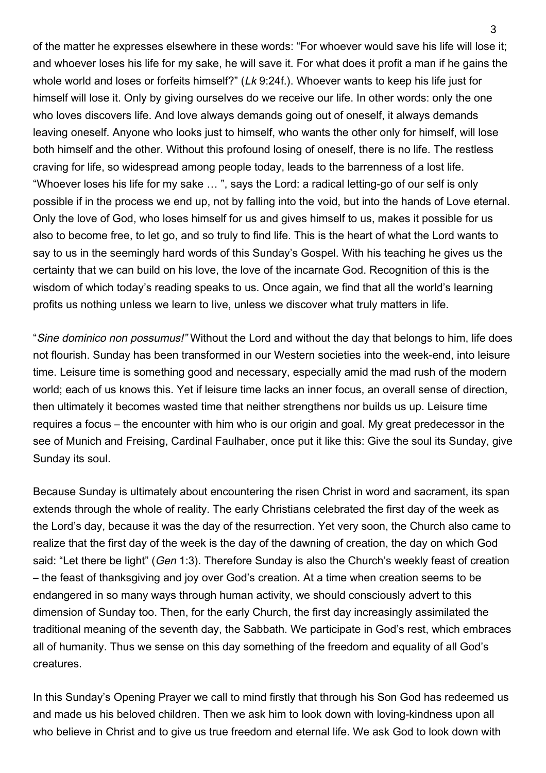of the matter he expresses elsewhere in these words: "For whoever would save his life will lose it; and whoever loses his life for my sake, he will save it. For what does it profit a man if he gains the whole world and loses or forfeits himself?" (Lk 9:24f.). Whoever wants to keep his life just for himself will lose it. Only by giving ourselves do we receive our life. In other words: only the one who loves discovers life. And love always demands going out of oneself, it always demands leaving oneself. Anyone who looks just to himself, who wants the other only for himself, will lose both himself and the other. Without this profound losing of oneself, there is no life. The restless craving for life, so widespread among people today, leads to the barrenness of a lost life. "Whoever loses his life for my sake … ", says the Lord: a radical letting-go of our self is only possible if in the process we end up, not by falling into the void, but into the hands of Love eternal. Only the love of God, who loses himself for us and gives himself to us, makes it possible for us also to become free, to let go, and so truly to find life. This is the heart of what the Lord wants to say to us in the seemingly hard words of this Sunday's Gospel. With his teaching he gives us the certainty that we can build on his love, the love of the incarnate God. Recognition of this is the wisdom of which today's reading speaks to us. Once again, we find that all the world's learning profits us nothing unless we learn to live, unless we discover what truly matters in life.

"Sine dominico non possumus!" Without the Lord and without the day that belongs to him, life does not flourish. Sunday has been transformed in our Western societies into the week-end, into leisure time. Leisure time is something good and necessary, especially amid the mad rush of the modern world; each of us knows this. Yet if leisure time lacks an inner focus, an overall sense of direction, then ultimately it becomes wasted time that neither strengthens nor builds us up. Leisure time requires a focus – the encounter with him who is our origin and goal. My great predecessor in the see of Munich and Freising, Cardinal Faulhaber, once put it like this: Give the soul its Sunday, give Sunday its soul.

Because Sunday is ultimately about encountering the risen Christ in word and sacrament, its span extends through the whole of reality. The early Christians celebrated the first day of the week as the Lord's day, because it was the day of the resurrection. Yet very soon, the Church also came to realize that the first day of the week is the day of the dawning of creation, the day on which God said: "Let there be light" (Gen 1:3). Therefore Sunday is also the Church's weekly feast of creation – the feast of thanksgiving and joy over God's creation. At a time when creation seems to be endangered in so many ways through human activity, we should consciously advert to this dimension of Sunday too. Then, for the early Church, the first day increasingly assimilated the traditional meaning of the seventh day, the Sabbath. We participate in God's rest, which embraces all of humanity. Thus we sense on this day something of the freedom and equality of all God's creatures.

In this Sunday's Opening Prayer we call to mind firstly that through his Son God has redeemed us and made us his beloved children. Then we ask him to look down with loving-kindness upon all who believe in Christ and to give us true freedom and eternal life. We ask God to look down with